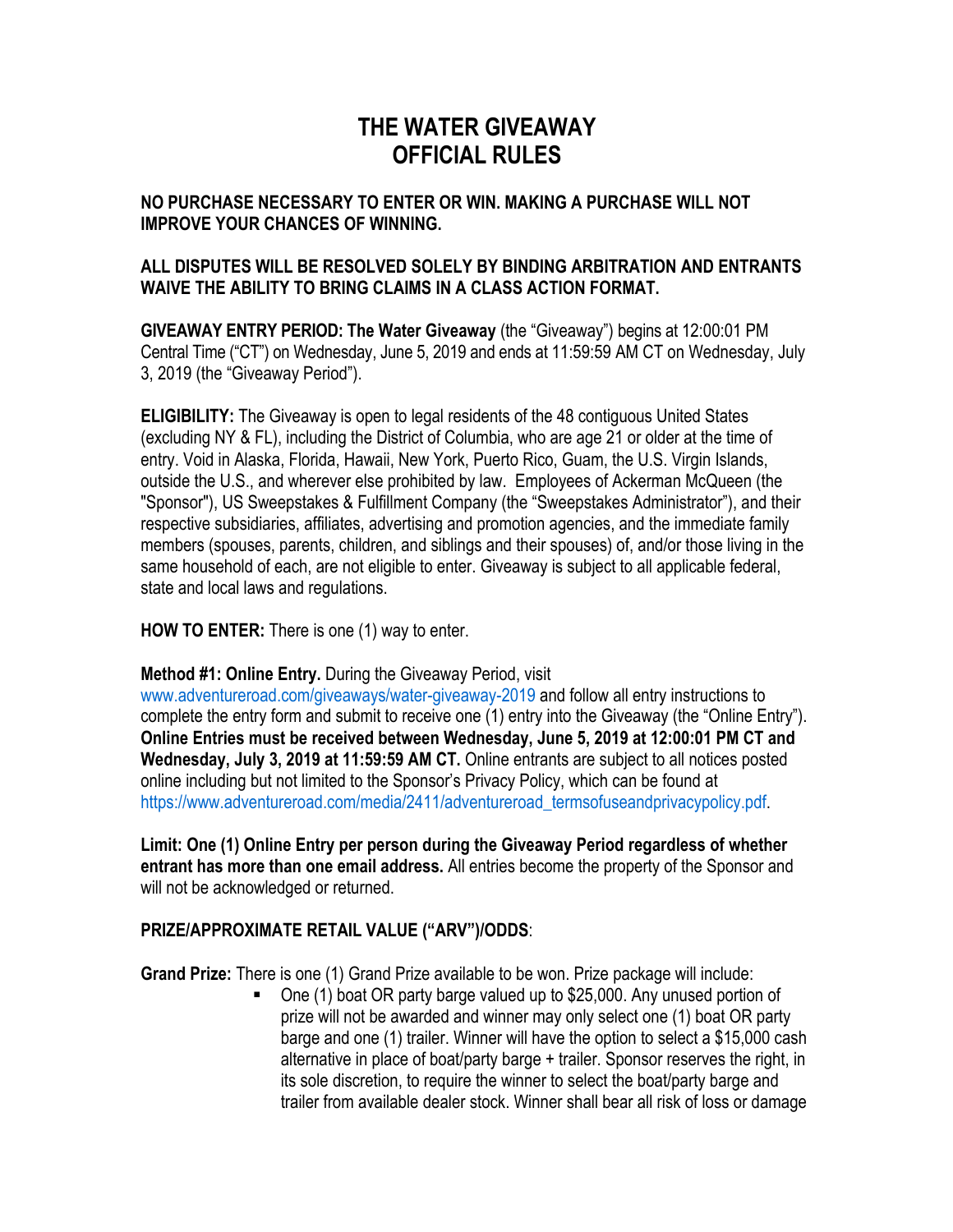# **THE WATER GIVEAWAY OFFICIAL RULES**

#### **NO PURCHASE NECESSARY TO ENTER OR WIN. MAKING A PURCHASE WILL NOT IMPROVE YOUR CHANCES OF WINNING.**

### **ALL DISPUTES WILL BE RESOLVED SOLELY BY BINDING ARBITRATION AND ENTRANTS WAIVE THE ABILITY TO BRING CLAIMS IN A CLASS ACTION FORMAT.**

**GIVEAWAY ENTRY PERIOD: The Water Giveaway** (the "Giveaway") begins at 12:00:01 PM Central Time ("CT") on Wednesday, June 5, 2019 and ends at 11:59:59 AM CT on Wednesday, July 3, 2019 (the "Giveaway Period").

**ELIGIBILITY:** The Giveaway is open to legal residents of the 48 contiguous United States (excluding NY & FL), including the District of Columbia, who are age 21 or older at the time of entry. Void in Alaska, Florida, Hawaii, New York, Puerto Rico, Guam, the U.S. Virgin Islands, outside the U.S., and wherever else prohibited by law. Employees of Ackerman McQueen (the "Sponsor"), US Sweepstakes & Fulfillment Company (the "Sweepstakes Administrator"), and their respective subsidiaries, affiliates, advertising and promotion agencies, and the immediate family members (spouses, parents, children, and siblings and their spouses) of, and/or those living in the same household of each, are not eligible to enter. Giveaway is subject to all applicable federal, state and local laws and regulations.

**HOW TO ENTER:** There is one (1) way to enter.

### **Method #1: Online Entry.** During the Giveaway Period, visit

www.adventureroad.com/giveaways/water-giveaway-2019 and follow all entry instructions to complete the entry form and submit to receive one (1) entry into the Giveaway (the "Online Entry"). **Online Entries must be received between Wednesday, June 5, 2019 at 12:00:01 PM CT and Wednesday, July 3, 2019 at 11:59:59 AM CT.** Online entrants are subject to all notices posted online including but not limited to the Sponsor's Privacy Policy, which can be found at https://www.adventureroad.com/media/2411/adventureroad\_termsofuseandprivacypolicy.pdf.

**Limit: One (1) Online Entry per person during the Giveaway Period regardless of whether entrant has more than one email address.** All entries become the property of the Sponsor and will not be acknowledged or returned.

### **PRIZE/APPROXIMATE RETAIL VALUE ("ARV")/ODDS**:

**Grand Prize:** There is one (1) Grand Prize available to be won. Prize package will include:

§ One (1) boat OR party barge valued up to \$25,000. Any unused portion of prize will not be awarded and winner may only select one (1) boat OR party barge and one (1) trailer. Winner will have the option to select a \$15,000 cash alternative in place of boat/party barge + trailer. Sponsor reserves the right, in its sole discretion, to require the winner to select the boat/party barge and trailer from available dealer stock. Winner shall bear all risk of loss or damage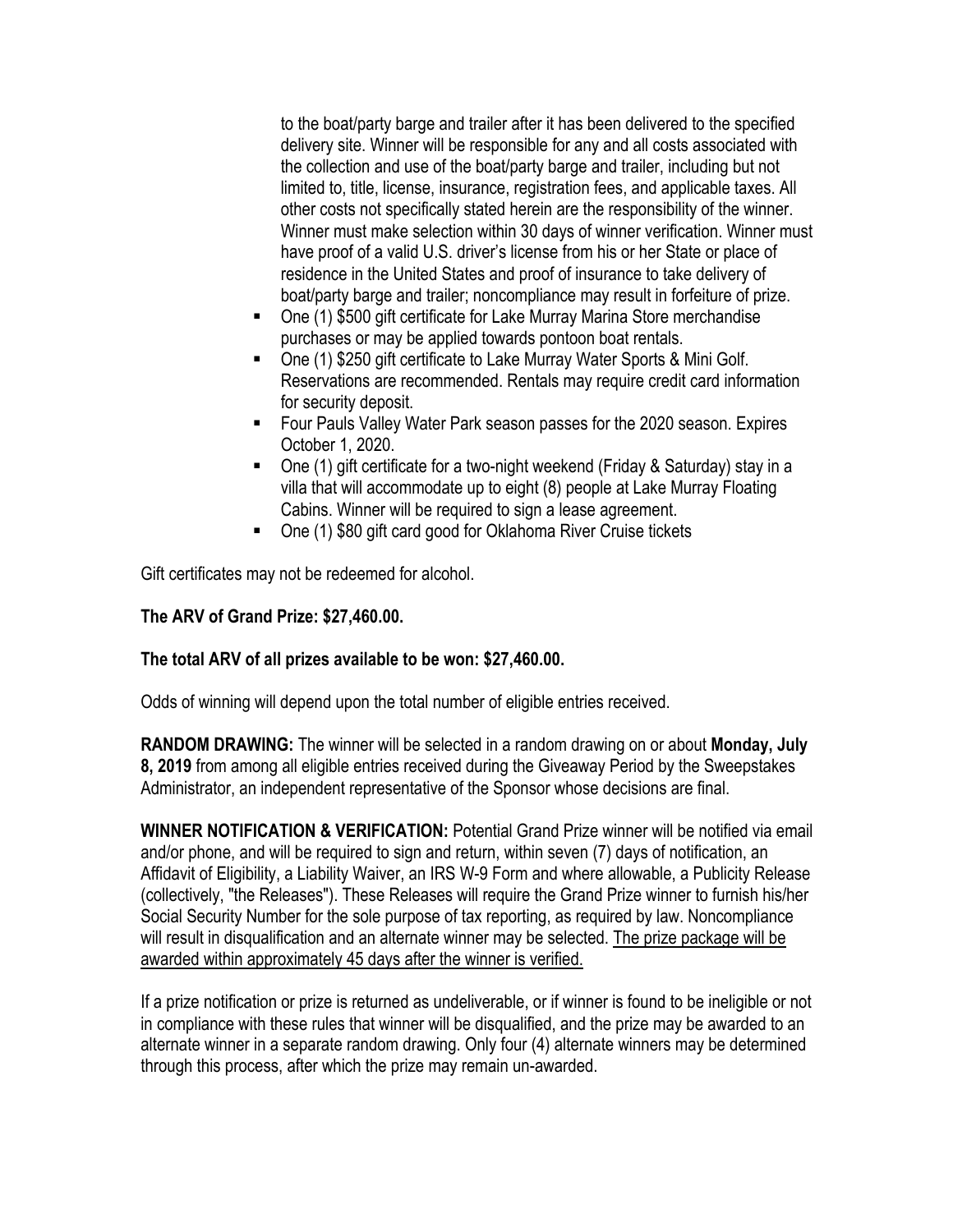to the boat/party barge and trailer after it has been delivered to the specified delivery site. Winner will be responsible for any and all costs associated with the collection and use of the boat/party barge and trailer, including but not limited to, title, license, insurance, registration fees, and applicable taxes. All other costs not specifically stated herein are the responsibility of the winner. Winner must make selection within 30 days of winner verification. Winner must have proof of a valid U.S. driver's license from his or her State or place of residence in the United States and proof of insurance to take delivery of boat/party barge and trailer; noncompliance may result in forfeiture of prize.

- One (1) \$500 gift certificate for Lake Murray Marina Store merchandise purchases or may be applied towards pontoon boat rentals.
- One (1) \$250 gift certificate to Lake Murray Water Sports & Mini Golf. Reservations are recommended. Rentals may require credit card information for security deposit.
- Four Pauls Valley Water Park season passes for the 2020 season. Expires October 1, 2020.
- One (1) gift certificate for a two-night weekend (Friday & Saturday) stay in a villa that will accommodate up to eight (8) people at Lake Murray Floating Cabins. Winner will be required to sign a lease agreement.
- One (1) \$80 gift card good for Oklahoma River Cruise tickets

Gift certificates may not be redeemed for alcohol.

## **The ARV of Grand Prize: \$27,460.00.**

### **The total ARV of all prizes available to be won: \$27,460.00.**

Odds of winning will depend upon the total number of eligible entries received.

**RANDOM DRAWING:** The winner will be selected in a random drawing on or about **Monday, July 8, 2019** from among all eligible entries received during the Giveaway Period by the Sweepstakes Administrator, an independent representative of the Sponsor whose decisions are final.

**WINNER NOTIFICATION & VERIFICATION:** Potential Grand Prize winner will be notified via email and/or phone, and will be required to sign and return, within seven (7) days of notification, an Affidavit of Eligibility, a Liability Waiver, an IRS W-9 Form and where allowable, a Publicity Release (collectively, "the Releases"). These Releases will require the Grand Prize winner to furnish his/her Social Security Number for the sole purpose of tax reporting, as required by law. Noncompliance will result in disqualification and an alternate winner may be selected. The prize package will be awarded within approximately 45 days after the winner is verified.

If a prize notification or prize is returned as undeliverable, or if winner is found to be ineligible or not in compliance with these rules that winner will be disqualified, and the prize may be awarded to an alternate winner in a separate random drawing. Only four (4) alternate winners may be determined through this process, after which the prize may remain un-awarded.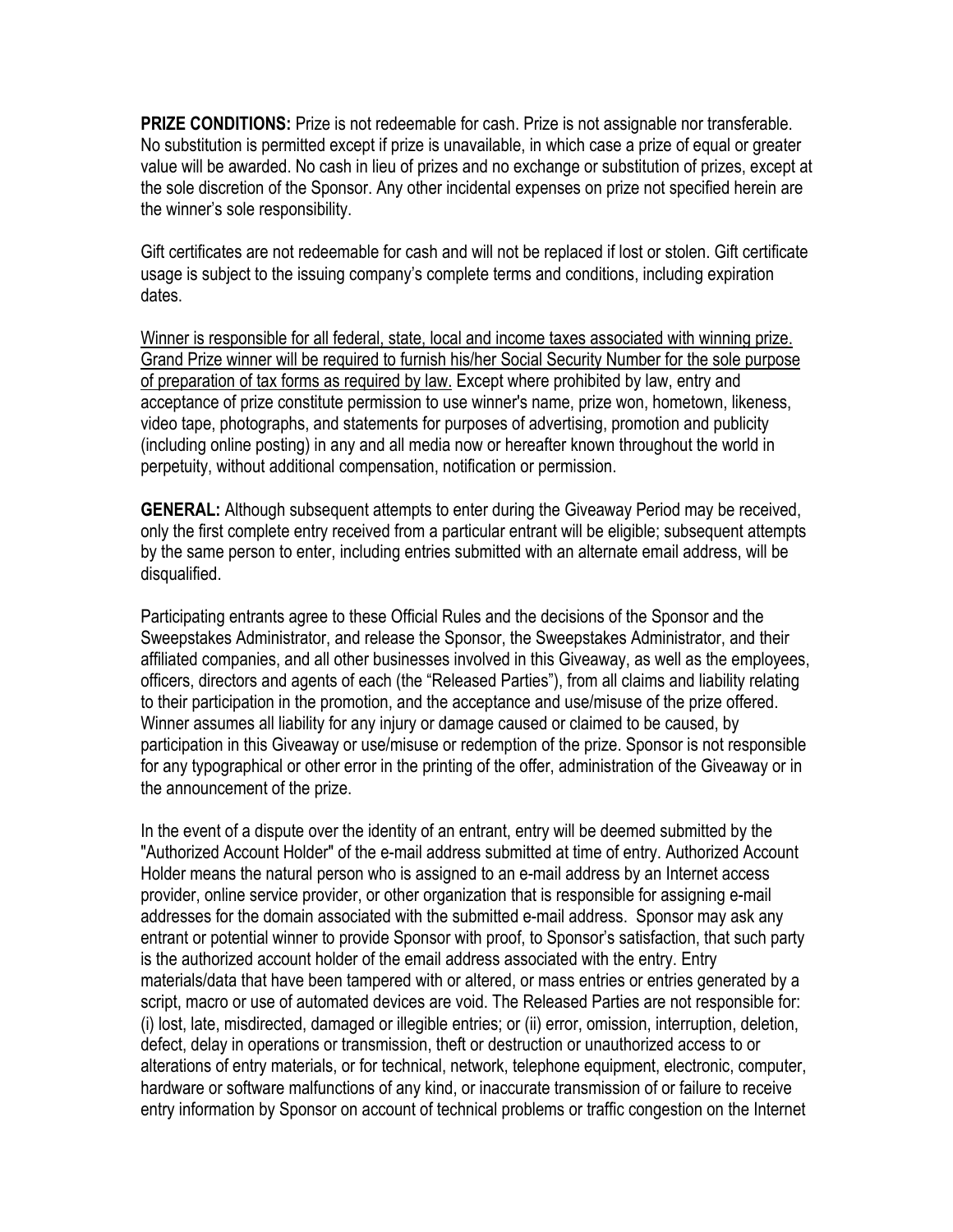**PRIZE CONDITIONS:** Prize is not redeemable for cash. Prize is not assignable nor transferable. No substitution is permitted except if prize is unavailable, in which case a prize of equal or greater value will be awarded. No cash in lieu of prizes and no exchange or substitution of prizes, except at the sole discretion of the Sponsor. Any other incidental expenses on prize not specified herein are the winner's sole responsibility.

Gift certificates are not redeemable for cash and will not be replaced if lost or stolen. Gift certificate usage is subject to the issuing company's complete terms and conditions, including expiration dates.

Winner is responsible for all federal, state, local and income taxes associated with winning prize. Grand Prize winner will be required to furnish his/her Social Security Number for the sole purpose of preparation of tax forms as required by law. Except where prohibited by law, entry and acceptance of prize constitute permission to use winner's name, prize won, hometown, likeness, video tape, photographs, and statements for purposes of advertising, promotion and publicity (including online posting) in any and all media now or hereafter known throughout the world in perpetuity, without additional compensation, notification or permission.

**GENERAL:** Although subsequent attempts to enter during the Giveaway Period may be received, only the first complete entry received from a particular entrant will be eligible; subsequent attempts by the same person to enter, including entries submitted with an alternate email address, will be disqualified.

Participating entrants agree to these Official Rules and the decisions of the Sponsor and the Sweepstakes Administrator, and release the Sponsor, the Sweepstakes Administrator, and their affiliated companies, and all other businesses involved in this Giveaway, as well as the employees, officers, directors and agents of each (the "Released Parties"), from all claims and liability relating to their participation in the promotion, and the acceptance and use/misuse of the prize offered. Winner assumes all liability for any injury or damage caused or claimed to be caused, by participation in this Giveaway or use/misuse or redemption of the prize. Sponsor is not responsible for any typographical or other error in the printing of the offer, administration of the Giveaway or in the announcement of the prize.

In the event of a dispute over the identity of an entrant, entry will be deemed submitted by the "Authorized Account Holder" of the e-mail address submitted at time of entry. Authorized Account Holder means the natural person who is assigned to an e-mail address by an Internet access provider, online service provider, or other organization that is responsible for assigning e-mail addresses for the domain associated with the submitted e-mail address. Sponsor may ask any entrant or potential winner to provide Sponsor with proof, to Sponsor's satisfaction, that such party is the authorized account holder of the email address associated with the entry. Entry materials/data that have been tampered with or altered, or mass entries or entries generated by a script, macro or use of automated devices are void. The Released Parties are not responsible for: (i) lost, late, misdirected, damaged or illegible entries; or (ii) error, omission, interruption, deletion, defect, delay in operations or transmission, theft or destruction or unauthorized access to or alterations of entry materials, or for technical, network, telephone equipment, electronic, computer, hardware or software malfunctions of any kind, or inaccurate transmission of or failure to receive entry information by Sponsor on account of technical problems or traffic congestion on the Internet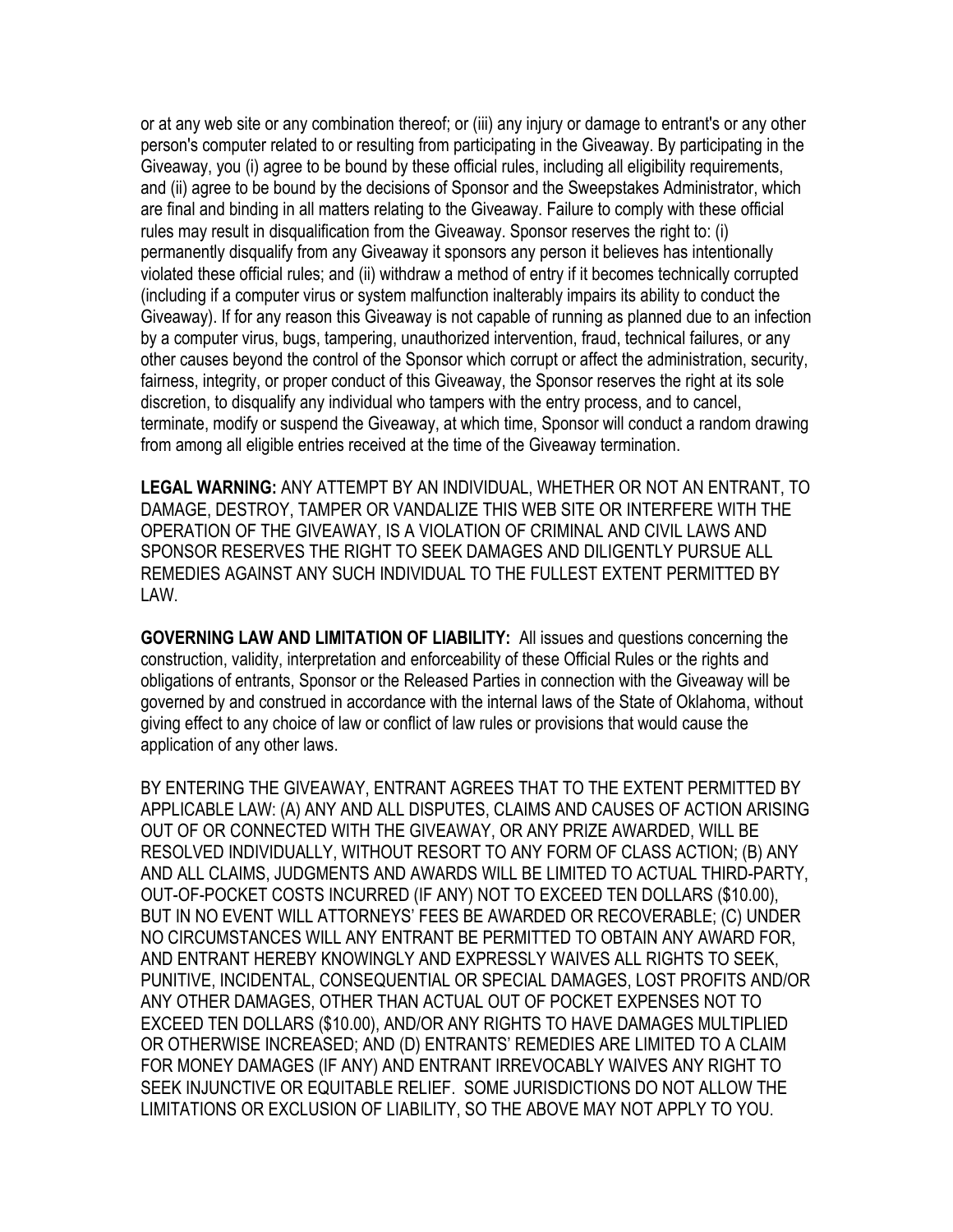or at any web site or any combination thereof; or (iii) any injury or damage to entrant's or any other person's computer related to or resulting from participating in the Giveaway. By participating in the Giveaway, you (i) agree to be bound by these official rules, including all eligibility requirements, and (ii) agree to be bound by the decisions of Sponsor and the Sweepstakes Administrator, which are final and binding in all matters relating to the Giveaway. Failure to comply with these official rules may result in disqualification from the Giveaway. Sponsor reserves the right to: (i) permanently disqualify from any Giveaway it sponsors any person it believes has intentionally violated these official rules; and (ii) withdraw a method of entry if it becomes technically corrupted (including if a computer virus or system malfunction inalterably impairs its ability to conduct the Giveaway). If for any reason this Giveaway is not capable of running as planned due to an infection by a computer virus, bugs, tampering, unauthorized intervention, fraud, technical failures, or any other causes beyond the control of the Sponsor which corrupt or affect the administration, security, fairness, integrity, or proper conduct of this Giveaway, the Sponsor reserves the right at its sole discretion, to disqualify any individual who tampers with the entry process, and to cancel, terminate, modify or suspend the Giveaway, at which time, Sponsor will conduct a random drawing from among all eligible entries received at the time of the Giveaway termination.

**LEGAL WARNING:** ANY ATTEMPT BY AN INDIVIDUAL, WHETHER OR NOT AN ENTRANT, TO DAMAGE, DESTROY, TAMPER OR VANDALIZE THIS WEB SITE OR INTERFERE WITH THE OPERATION OF THE GIVEAWAY, IS A VIOLATION OF CRIMINAL AND CIVIL LAWS AND SPONSOR RESERVES THE RIGHT TO SEEK DAMAGES AND DILIGENTLY PURSUE ALL REMEDIES AGAINST ANY SUCH INDIVIDUAL TO THE FULLEST EXTENT PERMITTED BY LAW.

**GOVERNING LAW AND LIMITATION OF LIABILITY:** All issues and questions concerning the construction, validity, interpretation and enforceability of these Official Rules or the rights and obligations of entrants, Sponsor or the Released Parties in connection with the Giveaway will be governed by and construed in accordance with the internal laws of the State of Oklahoma, without giving effect to any choice of law or conflict of law rules or provisions that would cause the application of any other laws.

BY ENTERING THE GIVEAWAY, ENTRANT AGREES THAT TO THE EXTENT PERMITTED BY APPLICABLE LAW: (A) ANY AND ALL DISPUTES, CLAIMS AND CAUSES OF ACTION ARISING OUT OF OR CONNECTED WITH THE GIVEAWAY, OR ANY PRIZE AWARDED, WILL BE RESOLVED INDIVIDUALLY, WITHOUT RESORT TO ANY FORM OF CLASS ACTION; (B) ANY AND ALL CLAIMS, JUDGMENTS AND AWARDS WILL BE LIMITED TO ACTUAL THIRD-PARTY, OUT-OF-POCKET COSTS INCURRED (IF ANY) NOT TO EXCEED TEN DOLLARS (\$10.00), BUT IN NO EVENT WILL ATTORNEYS' FEES BE AWARDED OR RECOVERABLE; (C) UNDER NO CIRCUMSTANCES WILL ANY ENTRANT BE PERMITTED TO OBTAIN ANY AWARD FOR, AND ENTRANT HEREBY KNOWINGLY AND EXPRESSLY WAIVES ALL RIGHTS TO SEEK, PUNITIVE, INCIDENTAL, CONSEQUENTIAL OR SPECIAL DAMAGES, LOST PROFITS AND/OR ANY OTHER DAMAGES, OTHER THAN ACTUAL OUT OF POCKET EXPENSES NOT TO EXCEED TEN DOLLARS (\$10.00), AND/OR ANY RIGHTS TO HAVE DAMAGES MULTIPLIED OR OTHERWISE INCREASED; AND (D) ENTRANTS' REMEDIES ARE LIMITED TO A CLAIM FOR MONEY DAMAGES (IF ANY) AND ENTRANT IRREVOCABLY WAIVES ANY RIGHT TO SEEK INJUNCTIVE OR EQUITABLE RELIEF. SOME JURISDICTIONS DO NOT ALLOW THE LIMITATIONS OR EXCLUSION OF LIABILITY, SO THE ABOVE MAY NOT APPLY TO YOU.